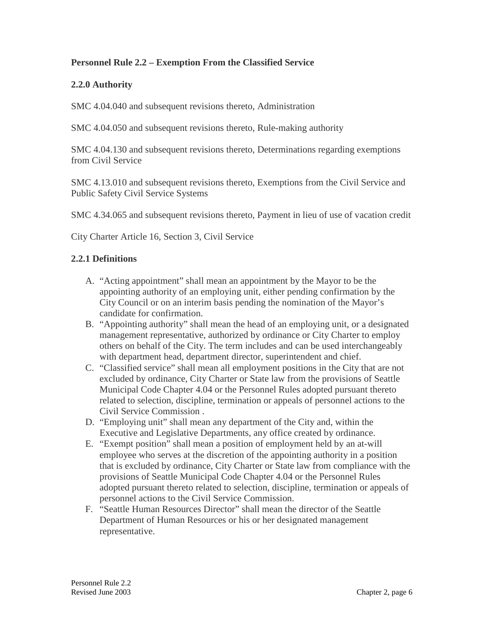### **Personnel Rule 2.2 – Exemption From the Classified Service**

#### **2.2.0 Authority**

SMC 4.04.040 and subsequent revisions thereto, Administration

SMC 4.04.050 and subsequent revisions thereto, Rule-making authority

SMC 4.04.130 and subsequent revisions thereto, Determinations regarding exemptions from Civil Service

SMC 4.13.010 and subsequent revisions thereto, Exemptions from the Civil Service and Public Safety Civil Service Systems

SMC 4.34.065 and subsequent revisions thereto, Payment in lieu of use of vacation credit

City Charter Article 16, Section 3, Civil Service

#### **2.2.1 Definitions**

- A. "Acting appointment" shall mean an appointment by the Mayor to be the appointing authority of an employing unit, either pending confirmation by the City Council or on an interim basis pending the nomination of the Mayor's candidate for confirmation.
- B. "Appointing authority" shall mean the head of an employing unit, or a designated management representative, authorized by ordinance or City Charter to employ others on behalf of the City. The term includes and can be used interchangeably with department head, department director, superintendent and chief.
- C. "Classified service" shall mean all employment positions in the City that are not excluded by ordinance, City Charter or State law from the provisions of Seattle Municipal Code Chapter 4.04 or the Personnel Rules adopted pursuant thereto related to selection, discipline, termination or appeals of personnel actions to the Civil Service Commission .
- D. "Employing unit" shall mean any department of the City and, within the Executive and Legislative Departments, any office created by ordinance.
- E. "Exempt position" shall mean a position of employment held by an at-will employee who serves at the discretion of the appointing authority in a position that is excluded by ordinance, City Charter or State law from compliance with the provisions of Seattle Municipal Code Chapter 4.04 or the Personnel Rules adopted pursuant thereto related to selection, discipline, termination or appeals of personnel actions to the Civil Service Commission.
- F. "Seattle Human Resources Director" shall mean the director of the Seattle Department of Human Resources or his or her designated management representative.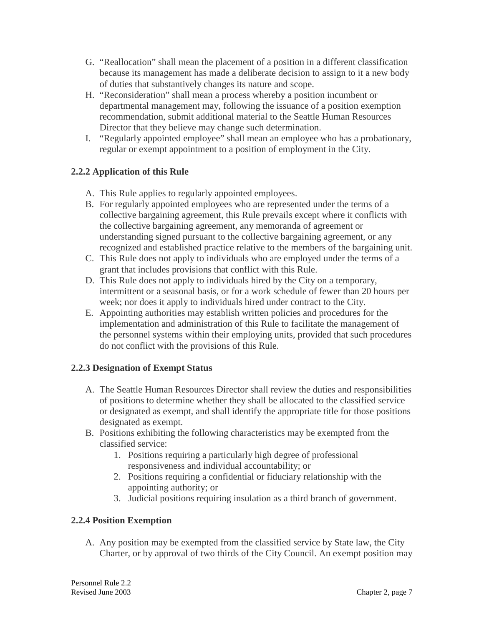- G. "Reallocation" shall mean the placement of a position in a different classification because its management has made a deliberate decision to assign to it a new body of duties that substantively changes its nature and scope.
- H. "Reconsideration" shall mean a process whereby a position incumbent or departmental management may, following the issuance of a position exemption recommendation, submit additional material to the Seattle Human Resources Director that they believe may change such determination.
- I. "Regularly appointed employee" shall mean an employee who has a probationary, regular or exempt appointment to a position of employment in the City.

# **2.2.2 Application of this Rule**

- A. This Rule applies to regularly appointed employees.
- B. For regularly appointed employees who are represented under the terms of a collective bargaining agreement, this Rule prevails except where it conflicts with the collective bargaining agreement, any memoranda of agreement or understanding signed pursuant to the collective bargaining agreement, or any recognized and established practice relative to the members of the bargaining unit.
- C. This Rule does not apply to individuals who are employed under the terms of a grant that includes provisions that conflict with this Rule.
- D. This Rule does not apply to individuals hired by the City on a temporary, intermittent or a seasonal basis, or for a work schedule of fewer than 20 hours per week; nor does it apply to individuals hired under contract to the City.
- E. Appointing authorities may establish written policies and procedures for the implementation and administration of this Rule to facilitate the management of the personnel systems within their employing units, provided that such procedures do not conflict with the provisions of this Rule.

# **2.2.3 Designation of Exempt Status**

- A. The Seattle Human Resources Director shall review the duties and responsibilities of positions to determine whether they shall be allocated to the classified service or designated as exempt, and shall identify the appropriate title for those positions designated as exempt.
- B. Positions exhibiting the following characteristics may be exempted from the classified service:
	- 1. Positions requiring a particularly high degree of professional responsiveness and individual accountability; or
	- 2. Positions requiring a confidential or fiduciary relationship with the appointing authority; or
	- 3. Judicial positions requiring insulation as a third branch of government.

# **2.2.4 Position Exemption**

A. Any position may be exempted from the classified service by State law, the City Charter, or by approval of two thirds of the City Council. An exempt position may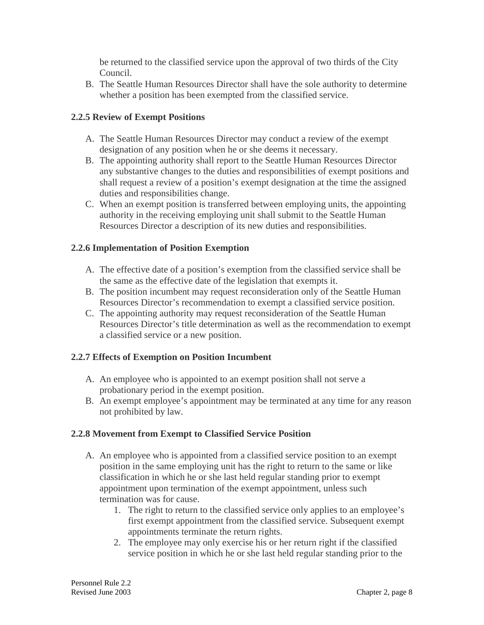be returned to the classified service upon the approval of two thirds of the City Council.

B. The Seattle Human Resources Director shall have the sole authority to determine whether a position has been exempted from the classified service.

### **2.2.5 Review of Exempt Positions**

- A. The Seattle Human Resources Director may conduct a review of the exempt designation of any position when he or she deems it necessary.
- B. The appointing authority shall report to the Seattle Human Resources Director any substantive changes to the duties and responsibilities of exempt positions and shall request a review of a position's exempt designation at the time the assigned duties and responsibilities change.
- C. When an exempt position is transferred between employing units, the appointing authority in the receiving employing unit shall submit to the Seattle Human Resources Director a description of its new duties and responsibilities.

### **2.2.6 Implementation of Position Exemption**

- A. The effective date of a position's exemption from the classified service shall be the same as the effective date of the legislation that exempts it.
- B. The position incumbent may request reconsideration only of the Seattle Human Resources Director's recommendation to exempt a classified service position.
- C. The appointing authority may request reconsideration of the Seattle Human Resources Director's title determination as well as the recommendation to exempt a classified service or a new position.

#### **2.2.7 Effects of Exemption on Position Incumbent**

- A. An employee who is appointed to an exempt position shall not serve a probationary period in the exempt position.
- B. An exempt employee's appointment may be terminated at any time for any reason not prohibited by law.

# **2.2.8 Movement from Exempt to Classified Service Position**

- A. An employee who is appointed from a classified service position to an exempt position in the same employing unit has the right to return to the same or like classification in which he or she last held regular standing prior to exempt appointment upon termination of the exempt appointment, unless such termination was for cause.
	- 1. The right to return to the classified service only applies to an employee's first exempt appointment from the classified service. Subsequent exempt appointments terminate the return rights.
	- 2. The employee may only exercise his or her return right if the classified service position in which he or she last held regular standing prior to the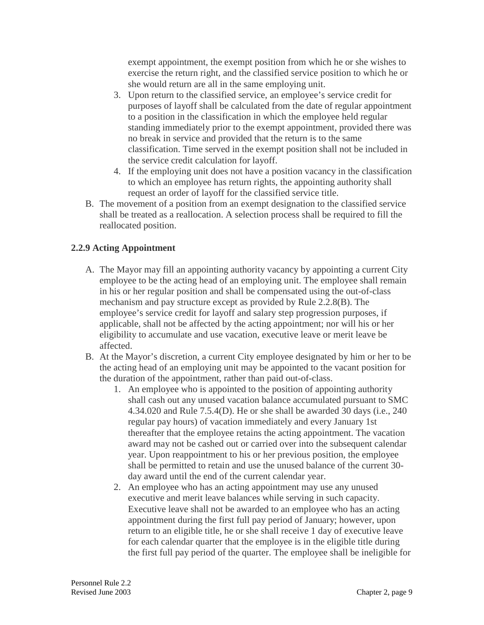exempt appointment, the exempt position from which he or she wishes to exercise the return right, and the classified service position to which he or she would return are all in the same employing unit.

- 3. Upon return to the classified service, an employee's service credit for purposes of layoff shall be calculated from the date of regular appointment to a position in the classification in which the employee held regular standing immediately prior to the exempt appointment, provided there was no break in service and provided that the return is to the same classification. Time served in the exempt position shall not be included in the service credit calculation for layoff.
- 4. If the employing unit does not have a position vacancy in the classification to which an employee has return rights, the appointing authority shall request an order of layoff for the classified service title.
- B. The movement of a position from an exempt designation to the classified service shall be treated as a reallocation. A selection process shall be required to fill the reallocated position.

# **2.2.9 Acting Appointment**

- A. The Mayor may fill an appointing authority vacancy by appointing a current City employee to be the acting head of an employing unit. The employee shall remain in his or her regular position and shall be compensated using the out-of-class mechanism and pay structure except as provided by Rule 2.2.8(B). The employee's service credit for layoff and salary step progression purposes, if applicable, shall not be affected by the acting appointment; nor will his or her eligibility to accumulate and use vacation, executive leave or merit leave be affected.
- B. At the Mayor's discretion, a current City employee designated by him or her to be the acting head of an employing unit may be appointed to the vacant position for the duration of the appointment, rather than paid out-of-class.
	- 1. An employee who is appointed to the position of appointing authority shall cash out any unused vacation balance accumulated pursuant to SMC 4.34.020 and Rule 7.5.4(D). He or she shall be awarded 30 days (i.e., 240 regular pay hours) of vacation immediately and every January 1st thereafter that the employee retains the acting appointment. The vacation award may not be cashed out or carried over into the subsequent calendar year. Upon reappointment to his or her previous position, the employee shall be permitted to retain and use the unused balance of the current 30 day award until the end of the current calendar year.
	- 2. An employee who has an acting appointment may use any unused executive and merit leave balances while serving in such capacity. Executive leave shall not be awarded to an employee who has an acting appointment during the first full pay period of January; however, upon return to an eligible title, he or she shall receive 1 day of executive leave for each calendar quarter that the employee is in the eligible title during the first full pay period of the quarter. The employee shall be ineligible for